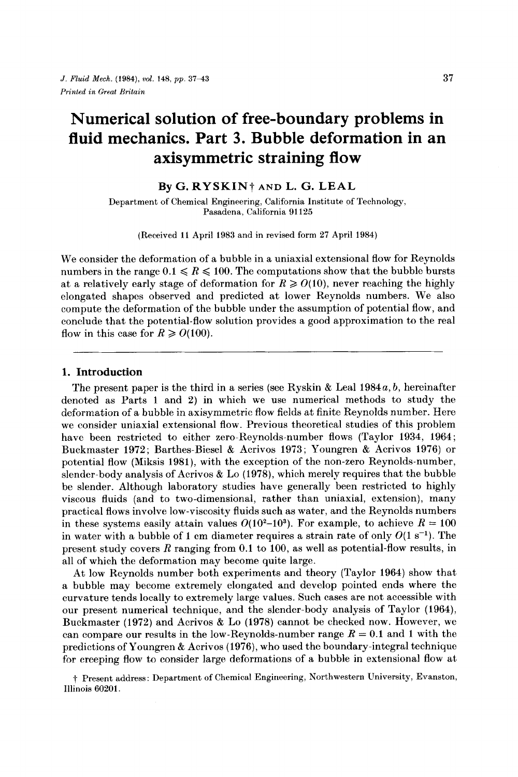# **Numerical solution of free-boundary problems in fluid mechanics. Part 3. Bubble deformation in an axisymmetric straining flow**

### **By G. RYSKINt AND L.** *G.* **LEAL**

**Department of Chemical Engineering, California Institute of Technology, Pasadena, California 91 125** 

**(Received 11 April 1983 and in revised form 27 April 1984)** 

We consider the deformation of a bubble in a uniaxial extensional flow for Reynolds numbers in the range  $0.1 \le R \le 100$ . The computations show that the bubble bursts at a relatively early stage of deformation for  $R \geq 0(10)$ , never reaching the highly elongated shapes observed and predicted at lower Reynolds numbers. We also compute the deformation of the bubble under the assumption of potential flow, and conclude that the potential-flow solution provides a good approximation to the real flow in this case for  $R \ge 0$ (100).

### **1. Introduction**

The present paper is the third in a series (see Ryskin & Leal **1984a,** *b,* hereinafter denoted as Parts **1** and **2)** in which we use numerical methods to study the deformation of a bubble in axisymmetric flow fields at finite Reynolds number. Here we consider uniaxial extensional flow. Previous theoretical studies of this problem have been restricted to either zero-Reynolds-number flows (Taylor **1934, 1964** ; Buckmaster **1972;** Barthes-Biesel & Acrivos **1973;** Youngren & Acrivos **1976)** or potential flow (Miksis **1981),** with the exception of the non-zero Reynolds-number, slender-body analysis of Acrivos & Lo **(1978),** which merely requires that the bubble be slender. Although laboratory studies have generally been restricted to highly viscous fluids (and to two-dimensional, rather than uniaxial, extension), many practical flows involve low-viscosity fluids such as water, and the Reynolds numbers in these systems easily attain values  $O(10^2-10^3)$ . For example, to achieve  $R = 100$ in water with a bubble of 1 cm diameter requires a strain rate of only  $O(1 \text{ s}^{-1})$ . The present study covers R ranging from **0.1** to **100,** as well as potential-flow results, in all of which the deformation may become quite large.

At low Reynolds number both experiments and theory (Taylor **1964)** show that a bubble may become extremely elongated and develop pointed ends where the curvature tends locally to extremely large values. Such cases are not accessible with our present numerical technique, and the slender-body analysis of Taylor **(1964),**  Buckmaster **(1972)** and Acrivos & Lo **(1978)** cannot be checked now. However, we can compare our results in the low-Reynolds-number range  $R = 0.1$  and 1 with the predictions of Youngren & Acrivos **(1976),** who used the boundary-integral technique for creeping flow to consider large deformations of a bubble in extensional flow at

t **Present address: Department of Chemical Engineering, Northwestern University, Evanston, Illinois 60201.**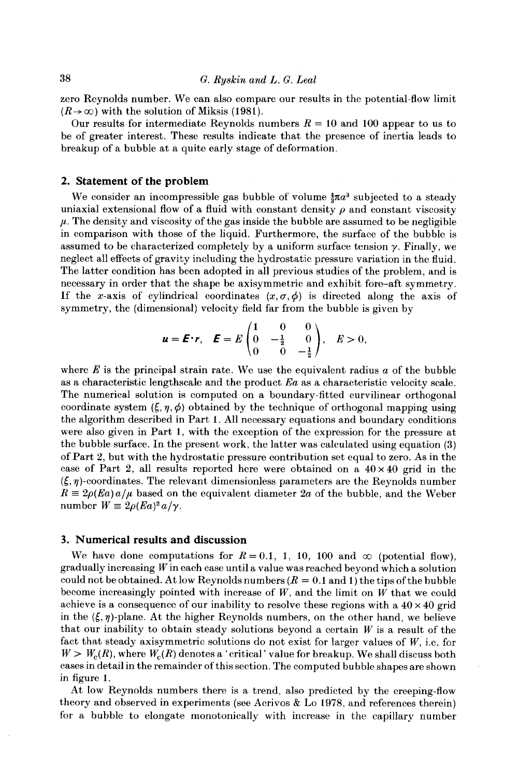zero Reynolds number. We can also compare our results in the potential-flow limit  $(R \rightarrow \infty)$  with the solution of Miksis (1981).

Our results for intermediate Reynolds numbers  $R = 10$  and 100 appear to us to be of greater interest. These results indicate that the presence of inertia leads to breakup of a bubble at a quite early stage of deformation.

#### **2. Statement of the problem**

We consider an incompressible gas bubble of volume  $\frac{4}{3}\pi a^3$  subjected to a steady uniaxial extensional flow of a fluid with constant density  $\rho$  and constant viscosity  $\mu$ . The density and viscosity of the gas inside the bubble are assumed to be negligible in comparison with those of the liquid. Furthermore, the surface of the bubble is assumed to be characterized completely by a uniform surface tension  $\gamma$ . Finally, we neglect all effects of gravity including the hydrostatic pressure variation in the fluid. The latter condition has been adopted in all previous studies of the problem, and is necessary in order that the shape be axisymmetric and exhibit fore-aft symmetry. If the x-axis of cylindrical coordinates  $(x, \sigma, \phi)$  is directed along the axis of

symmetry, the (dimensional) velocity field far from the bubble is given by  

$$
\mathbf{u} = \mathbf{E} \cdot \mathbf{r}, \quad \mathbf{E} = E \begin{pmatrix} 1 & 0 & 0 \\ 0 & -\frac{1}{2} & 0 \\ 0 & 0 & -\frac{1}{2} \end{pmatrix}, \quad E > 0,
$$

where *E* is the principal strain rate. We use the equivalent radius *a* of the bubble as a characteristic lengthscale and the product *Ea* as a characteristic velocity scale. The numerical solution is computed on a boundary-fitted curvilinear orthogonal coordinate system  $(\xi, \eta, \phi)$  obtained by the technique of orthogonal mapping using the algorithm described in Part 1. All necessary equations and boundary conditions were also given in Part **I,** with the exception of the expression for the pressure at the bubble surface. In the present work, the latter was calculated using equation **(3)**  of Part *2,* but with the hydrostatic pressure contribution set equal to zero. As in the case of Part 2, all results reported here were obtained on a  $40 \times 40$  grid in the  $(\xi, \eta)$ -coordinates. The relevant dimensionless parameters are the Reynolds number  $R \equiv 2\rho (Ea) a/\mu$  based on the equivalent diameter 2*a* of the bubble, and the Weber number  $W = 2\rho (Ea)^2 a/\gamma$ .

## **3. Numerical results and discussion**

We have done computations for  $R = 0.1$ , 1, 10, 100 and  $\infty$  (potential flow), gradually increasing  $W$  in each case until a value was reached beyond which a solution could not be obtained. At low Reynolds numbers  $(R = 0.1$  and 1) the tips of the bubble become increasingly pointed with increase of *W,* and the limit on *W* that we could achieve is a consequence of our inability to resolve these regions with a  $40 \times 40$  grid in the  $(\xi, \eta)$ -plane. At the higher Reynolds numbers, on the other hand, we believe that our inability to obtain steady solutions beyond a certain *W* is a result of the fact that steady axisymmetric solutions do not exist for larger values of *W,* i.e. for  $W > W_c(R)$ , where  $W_c(R)$  denotes a 'critical' value for breakup. We shall discuss both cases in detail in the remainder of this section. The computed bubble shapes are shown in figure **1.** 

At low Reynolds numbers there is a trend, also predicted by the creeping-flow theory and observed in experiments (see Acrivos & Lo **1978,** and references therein) for a bubble to elongate monotonically with increase in the capillary number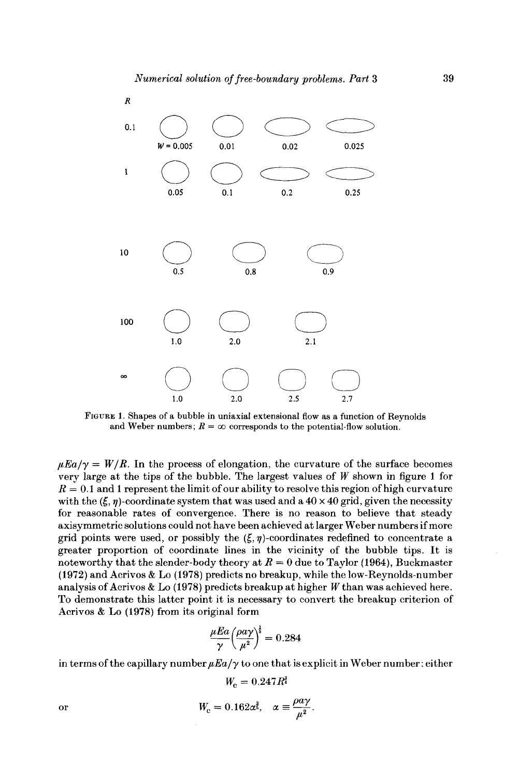

**FIGURE 1.Shapes of a bubble in uniaxial extensional** flow **as a function of Reynolds**  and Weber numbers;  $R = \infty$  corresponds to the potential-flow solution.

 $\mu E a/\gamma = W/R$ . In the process of elongation, the curvature of the surface becomes very large at the tips **of** the bubble. The largest values of **W** shown in figure **1** for  $R = 0.1$  and 1 represent the limit of our ability to resolve this region of high curvature with the  $(\xi, \eta)$ -coordinate system that was used and a  $40 \times 40$  grid, given the necessity for reasonable rates of convergence. There is no reason to believe that steady axisymmetric solutions could not have been achieved at larger Weber numbers if more grid points were used, or possibly the  $(\xi, \eta)$ -coordinates redefined to concentrate a greater proportion of coordinate lines in the vicinity of the bubble tips. It is noteworthy that the slender-body theory at  $R = 0$  due to Taylor (1964), Buckmaster **(1972)** and Acrivos & Lo **(1978)** predicts no breakup, while the low-Reynolds-number analysis of Acrivos & Lo **(1978)** predicts breakup at higher *W* than was achieved here. To demonstrate this latter point it is necessary to convert the breakup criterion of Acrivos & Lo **(1978)** from its original form

$$
\frac{\mu E a}{\gamma} \left(\frac{\rho a \gamma}{\mu^2}\right)^{\frac{1}{3}} = 0.284
$$

in terms of the capillary number  $\mu E a/\gamma$  to one that is explicit in Weber number: either

$$
W_c = 0.247 R^3
$$

$$
W_{\rm c}=0.162\alpha^{\frac{3}{5}},\quad \alpha\equiv\frac{\rho a\gamma}{\mu^2}.
$$

or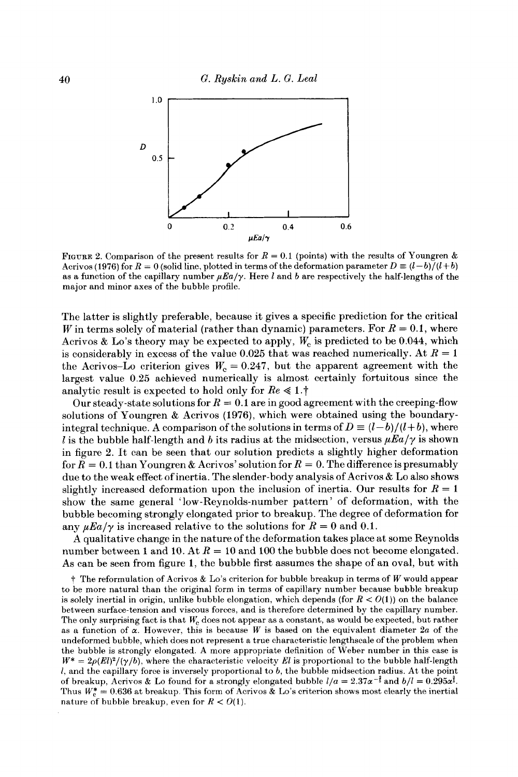

**FIGURE 2. Comparison of the present results for**  $R = 0.1$  **(points) with the results of Youngren &** Acrivos (1976) for  $R = 0$  (solid line, plotted in terms of the deformation parameter  $D \equiv (l-b)/(l+b)$ as a function of the capillary number  $\mu E a/\gamma$ . Here l and b are respectively the half-lengths of the major and minor axes of the bubble profile.

The latter is slightly preferable, because it gives a specific prediction for the critical W in terms solely of material (rather than dynamic) parameters. For  $R = 0.1$ , where Acrivos & Lo's theory may be expected to apply,  $W_c$  is predicted to be 0.044, which is considerably in excess of the value  $0.025$  that was reached numerically. At  $R = 1$ the Acrivos-Lo criterion gives  $W_c = 0.247$ , but the apparent agreement with the largest value **0.25** achieved numerically is almost certainly fortuitous since the analytic result is expected to hold only for  $Re \leq 1.$ 

Our steady-state solutions for  $R = 0.1$  are in good agreement with the creeping-flow solutions of Youngren & Acrivos **(1976),** which were obtained using the boundaryintegral technique. A comparison of the solutions in terms of  $D \equiv (l-b)/(l+b)$ , where *I* is the bubble half-length and *b* its radius at the midsection, versus  $\mu \to \mu / \gamma$  is shown in figure **2.** It can be seen that our solution predicts a slightly higher deformation for  $R = 0.1$  than Youngren & Acrivos' solution for  $R = 0$ . The difference is presumably due to the weak effect of inertia. The slender-body analysis of Acrivos & Lo also shows slightly increased deformation upon the inclusion of inertia. Our results for  $R = 1$ show the same general 'low-Reynolds-number pattern ' of deformation, with the bubble becoming strongly elongated prior to breakup. The degree of deformation for any  $\mu Ea/\gamma$  is increased relative to the solutions for  $R = 0$  and 0.1.

A qualitative change in the nature of the deformation takes place at some Reynolds number between 1 and 10. At  $R = 10$  and 100 the bubble does not become elongated. As can be seen from figure **1,** the bubble first assumes the shape of an oval, but with

t The reformulation of Acrivos & Lo's criterion for bubble breakup in terms of *W* would appear to be more natural than the original form in terms of capillary number because bubble breakup is solely inertial in origin, unlike bubble elongation, which depends (for *R* < *O(1))* on the balance between surface-tension and viscous forces, and is therefore determined by the capillary number. The only surprising fact **is** that *We* does not appear as a constant, as would be expected, but rather as a function of *a.* However, this is because *W* is based on the equivalent diameter *2u* of the undeformed bubble, which does not represent a true characteristic lengthscale of the problem when the bubble is strongly elongated. A more appropriate definition of Weber number in this case is  $W^* = 2\rho(El)^2/(\gamma/b)$ , where the characteristic velocity *El* is proportional to the bubble half-length *1,* and the capillary force is inversely proportional to *b,* the bubble midsection radius. At the point of breakup, Acrivos & Lo found for a strongly elongated bubble  $I/a = 2.37\alpha^{-\frac{2}{3}}$  and  $b/l = 0.295\alpha^{\frac{3}{5}}$ . Thus  $W_e^* = 0.636$  at breakup. This form of Acrivos & Lo's criterion shows most clearly the inertial nature of bubble breakup, even for  $R < O(1)$ .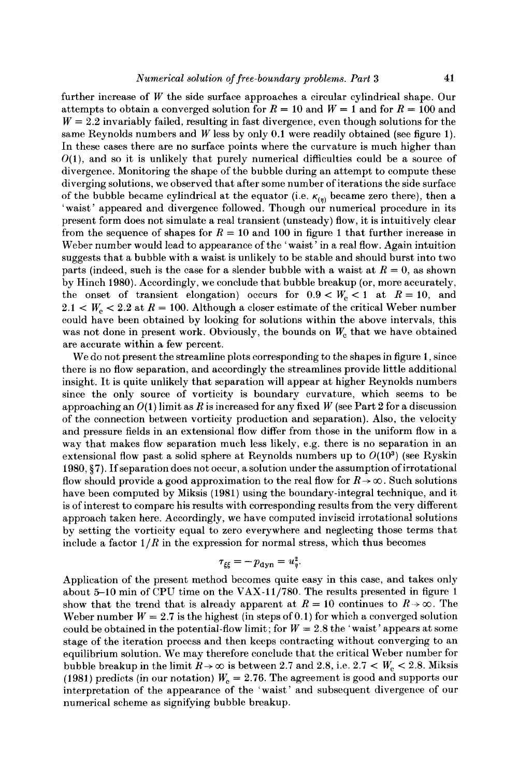further increase of *W* the side surface approaches a circular cylindrical shape. Our attempts to obtain a converged solution for  $R = 10$  and  $W = 1$  and for  $R = 100$  and  $W = 2.2$  invariably failed, resulting in fast divergence, even though solutions for the same Reynolds numbers and *W* less by only **0.1** were readily obtained (see figure **1).**  In these cases there are no surface points where the curvature is much higher than  $O(1)$ , and so it is unlikely that purely numerical difficulties could be a source of divergence. Monitoring the shape of the bubble during an attempt to compute these diverging solutions, we observed that after some number of iterations the side surface of the bubble became cylindrical at the equator (i.e.  $\kappa_{(n)}$  became zero there), then a 'waist' appeared and divergence followed. Though our numerical procedure in its present form does not simulate a real transient (unsteady) flow, it is intuitively clear from the sequence of shapes for  $R = 10$  and 100 in figure 1 that further increase in Weber number would lead to appearance of the 'waist' in a real flow. Again intuition suggests that a bubble with a waist is unlikely to be stable and should burst into two parts (indeed, such is the case for a slender bubble with a waist at  $R = 0$ , as shown by Hinch **1980).** Accordingly, we conclude that bubble breakup (or, more accurately, the onset of transient elongation) occurs for  $0.9 < W_c < 1$  at  $R = 10$ , and  $2.1 < W_c < 2.2$  at  $R = 100$ . Although a closer estimate of the critical Weber number could have been obtained by looking for solutions within the above intervals, this was not done in present work. Obviously, the bounds on *W,* that we have obtained are accurate within a few percent.

We do not present the streamline plots corresponding to the shapes in figure **1,** since there is no flow separation, and accordingly the streamlines provide little additional insight. It is quite unlikely that separation will appear at higher Reynolds numbers since the only source of vorticity is boundary curvature, which seems to be approaching an **O(1)** limit as *R* is increased for any fixed *W* (see Part **2** for a discussion of the connection between vorticity production and separation). Also, the velocity and pressure fields in an extensional flow differ from those in the uniform flow in a way that makes flow separation much less likely, e.g. there is no separation in an extensional flow past a solid sphere at Reynolds numbers up to  $O(10^3)$  (see Ryskin **1980, \$7).** If separation does not occur, a solution under the assumption of irrotational flow should provide a good approximation to the real flow for  $R \rightarrow \infty$ . Such solutions have been computed by Miksis **(1981)** using the boundary-integral technique, and it is of interest to compare his results with corresponding results from the very different approach taken here. Accordingly, we have computed inviscid irrotational solutions by setting the vorticity equal to zero everywhere and neglecting those terms that include a factor  $1/R$  in the expression for normal stress, which thus becomes

$$
\tau_{\xi\xi} = -p_{\rm dyn} = u_{\eta}^2.
$$

Application of the present method becomes quite easy in this case, and takes only about **5-10** min of CPU time on the **VAX-11/780.** The results presented in figure **1**  show that the trend that is already apparent at  $R = 10$  continues to  $R \rightarrow \infty$ . The Weber number  $W = 2.7$  is the highest (in steps of 0.1) for which a converged solution could be obtained in the potential-flow limit; for  $W = 2.8$  the 'waist' appears at some stage of the iteration process and then keeps contracting without converging to an equilibrium solution. We may therefore conclude that the critical Weber number for bubble breakup in the limit  $R \rightarrow \infty$  is between 2.7 and 2.8, i.e.  $2.7 < W_c < 2.8$ . Miksis (1981) predicts (in our notation)  $W_c = 2.76$ . The agreement is good and supports our interpretation of the appearance of the 'waist' and subsequent divergence of our numerical scheme as signifying bubble breakup.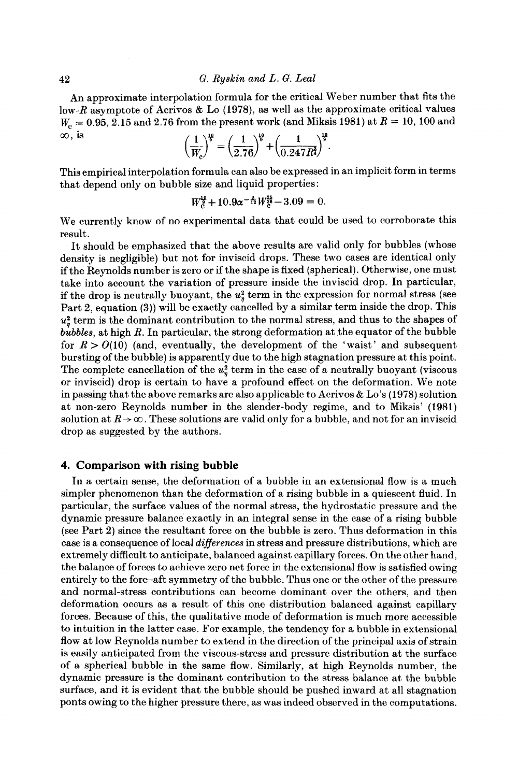An approximate interpolation formula for the critical Weber number that fits the low-R asymptote of Acrivos & Lo **(1978),** as well as the approximate critical values  $W_c = 0.95, 2.15$  and 2.76 from the present work (and Miksis 1981) at  $R = 10, 100$  and low-R asymptote of Acrivos & Lo (1978), as well as the a<br>  $W_c = 0.95, 2.15$  and 2.76 from the present work (and Miks.<br>  $\infty$ , is  $\left(\frac{1}{W}\right)^{\frac{10}{5}} = \left(\frac{1}{2.76}\right)^{\frac{10}{5}} + \left(\frac{1}{0.247P_c^{\frac{1}{2}}}\right)^{\frac{10}{5}}$ .

$$
\left(\frac{1}{W_{\rm c}}\right)^{\frac{1}{9}} = \left(\frac{1}{2.76}\right)^{\frac{1}{9}} + \left(\frac{1}{0.247R^{\frac{3}{4}}}\right)^{\frac{1}{9}}.
$$

This empirical interpolation formula can also be expressed in an implicit form in terms that depend only on bubble size and liquid properties :

$$
W_{c}^{\frac{10}{8}} + 10.9\alpha^{-\frac{5}{12}}W_{c}^{\frac{25}{36}} - 3.09 = 0.
$$

We currently know of no experimental data that could be used to corroborate this result.

It should be emphasized that the above results are valid only for bubbles (whose density is negligible) but not for inviscid drops. These two cases are identical only if the Reynolds number is zero or if the shape is fixed (spherical). Otherwise, one must take into account the variation of pressure inside the inviscid drop. In particular, if the drop is neutrally buoyant, the  $u^2$  term in the expression for normal stress (see Part **2,** equation **(3))** will be exactly cancelled by a similar term inside the drop. This  $u^2$  term is the dominant contribution to the normal stress, and thus to the shapes of *bubbles,* at high *R*. In particular, the strong deformation at the equator of the bubble for  $R > O(10)$  (and, eventually, the development of the 'waist' and subsequent bursting of the bubble) is apparently due to the high stagnation pressure at this point. The complete cancellation of the  $u^2$  term in the case of a neutrally buoyant (viscous or inviscid) drop is certain to have a profound effect on the deformation. We note in passing that the above remarks are also applicable to Acrivos & Lo's **(1978)** solution at non-zero Reynolds number in the slender-body regime, and to Miksis' **(1981)**  solution at  $R\to\infty$ . These solutions are valid only for a bubble, and not for an inviscid drop as suggested by the authors.

#### **4. Comparison with rising bubble**

In a certain sense, the deformation of a bubble in an extensional flow is a much simpler phenomenon than the deformation of a rising bubble in a quiescent fluid. In particular, the surface values of the normal stress, the hydrostatic pressure and the dynamic pressure balance exactly in an integral sense in the case of a rising bubble (see Part **2)** since the resultant force on the bubble is zero. Thus deformation in this case is a consequence of local *diflerences* in stress and pressure distributions, which are extremely difficult to anticipate, balanced against capillary forces. On the other hand, the balance of forces to achieve zero net force in the extensional flow is satisfied owing entirely to the fore-aft symmetry of the bubble. Thus one or the other of the pressure and normal-stress contributions can become dominant over the others, and then deformation occurs as a result of this one distribution balanced against capillary forces. Because of this, the qualitative mode of deformation is much more accessible to intuition in the latter case. For example, the tendency for a bubble in extensional flow at low Reynolds number to extend in the direction of the principal axis of strain is easily anticipated from the viscous-stress and pressure distribution at the surface of a spherical bubble in the same flow. Similarly, at high Reynolds number, the dynamic pressure is the dominant contribution to the stress balance at the bubble surface, and it is evident that the bubble should be pushed inward at all stagnation ponts owing to the higher pressure there, as was indeed observed in the computations.